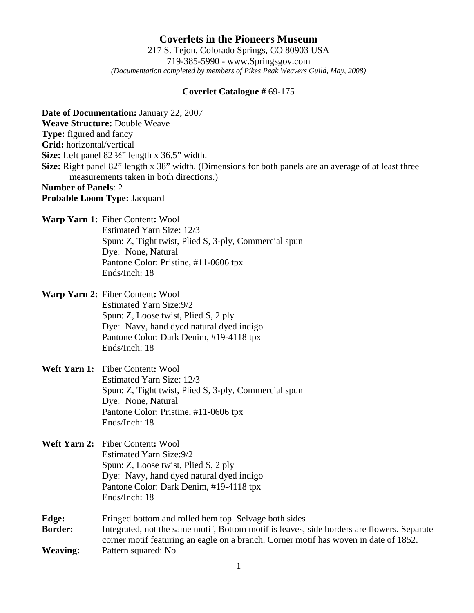**Coverlets in the Pioneers Museum** 217 S. Tejon, Colorado Springs, CO 80903 USA 719-385-5990 - www.Springsgov.com *(Documentation completed by members of Pikes Peak Weavers Guild, May, 2008)* 

## **Coverlet Catalogue #** 69-175

**Date of Documentation:** January 22, 2007 **Weave Structure:** Double Weave **Type:** figured and fancy **Grid:** horizontal/vertical **Size:** Left panel 82 ½" length x 36.5" width. **Size:** Right panel 82" length x 38" width. (Dimensions for both panels are an average of at least three measurements taken in both directions.) **Number of Panels**: 2 **Probable Loom Type:** Jacquard **Warp Yarn 1:** Fiber Content**:** Wool Estimated Yarn Size: 12/3 Spun: Z, Tight twist, Plied S, 3-ply, Commercial spun Dye: None, Natural Pantone Color: Pristine, #11-0606 tpx Ends/Inch: 18 **Warp Yarn 2:** Fiber Content**:** Wool Estimated Yarn Size: 9/2 Spun: Z, Loose twist, Plied S, 2 ply Dye: Navy, hand dyed natural dyed indigo Pantone Color: Dark Denim, #19-4118 tpx Ends/Inch: 18 **Weft Yarn 1:** Fiber Content**:** Wool Estimated Yarn Size: 12/3 Spun: Z, Tight twist, Plied S, 3-ply, Commercial spun Dye: None, Natural Pantone Color: Pristine, #11-0606 tpx

Ends/Inch: 18

- **Weft Yarn 2:** Fiber Content**:** Wool Estimated Yarn Size: 9/2 Spun: Z, Loose twist, Plied S, 2 ply Dye: Navy, hand dyed natural dyed indigo Pantone Color: Dark Denim, #19-4118 tpx Ends/Inch: 18
- **Edge:** Fringed bottom and rolled hem top. Selvage both sides **Border:** Integrated, not the same motif, Bottom motif is leaves, side borders are flowers. Separate corner motif featuring an eagle on a branch. Corner motif has woven in date of 1852. **Weaving:** Pattern squared: No